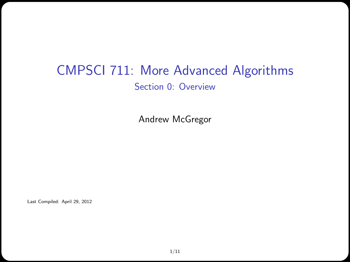#### CMPSCI 711: More Advanced Algorithms Section 0: Overview

Andrew McGregor

Last Compiled: April 29, 2012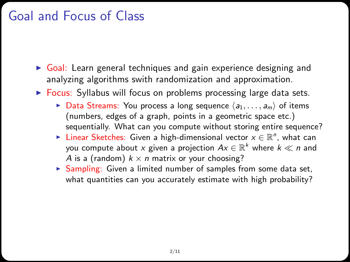## Goal and Focus of Class

- $\triangleright$  Goal: Learn general techniques and gain experience designing and analyzing algorithms swith randomization and approximation.
- $\triangleright$  Focus: Syllabus will focus on problems processing large data sets.
	- $\triangleright$  Data Streams: You process a long sequence  $\langle a_1, \ldots, a_m \rangle$  of items (numbers, edges of a graph, points in a geometric space etc.) sequentially. What can you compute without storing entire sequence?
	- ► Linear Sketches: Given a high-dimensional vector  $x \in \mathbb{R}^n$ , what can you compute about  $x$  given a projection  $Ax \in \mathbb{R}^k$  where  $k \ll n$  and A is a (random)  $k \times n$  matrix or your choosing?
	- $\triangleright$  Sampling: Given a limited number of samples from some data set, what quantities can you accurately estimate with high probability?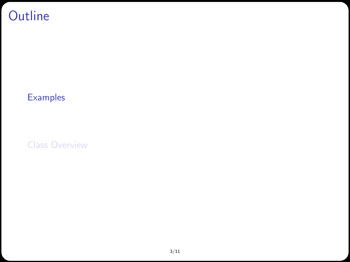# **Outline**

#### [Examples](#page-2-0)

<span id="page-2-0"></span>[Class Overview](#page-7-0)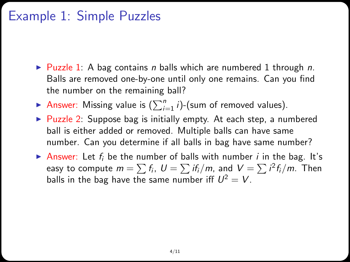#### Example 1: Simple Puzzles

- $\triangleright$  Puzzle 1: A bag contains *n* balls which are numbered 1 through *n*. Balls are removed one-by-one until only one remains. Can you find the number on the remaining ball?
- Answer: Missing value is  $(\sum_{i=1}^{n} i)$ -(sum of removed values).
- $\triangleright$  Puzzle 2: Suppose bag is initially empty. At each step, a numbered ball is either added or removed. Multiple balls can have same number. Can you determine if all balls in bag have same number?
- **Answer:** Let  $f_i$  be the number of balls with number i in the bag. It's easy to compute  $m=\sum f_i, \,\, U=\sum i f_i/m,$  and  $\,V=\sum i^2 f_i/m.$  Then balls in the bag have the same number iff  $U^2 = V$ .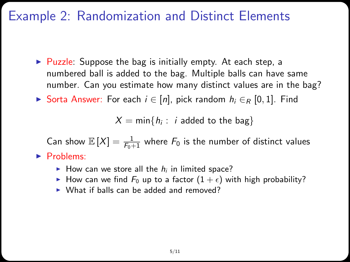#### Example 2: Randomization and Distinct Elements

- $\triangleright$  Puzzle: Suppose the bag is initially empty. At each step, a numbered ball is added to the bag. Multiple balls can have same number. Can you estimate how many distinct values are in the bag?
- ► Sorta Answer: For each  $i \in [n]$ , pick random  $h_i \in_R [0,1]$ . Find

 $X = \mathsf{min}\{h_i:~i \text{ added to the bag}\}$ 

Can show  $\mathbb{E}[X] = \frac{1}{F_0+1}$  where  $F_0$  is the number of distinct values  $\blacktriangleright$  Problems:

- How can we store all the  $h_i$  in limited space?
- How can we find  $F_0$  up to a factor  $(1 + \epsilon)$  with high probability?
- $\triangleright$  What if balls can be added and removed?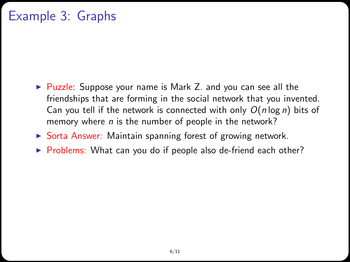## Example 3: Graphs

- ► Puzzle: Suppose your name is Mark Z. and you can see all the friendships that are forming in the social network that you invented. Can you tell if the network is connected with only  $O(n \log n)$  bits of memory where  $n$  is the number of people in the network?
- $\triangleright$  Sorta Answer: Maintain spanning forest of growing network.
- $\triangleright$  Problems: What can you do if people also de-friend each other?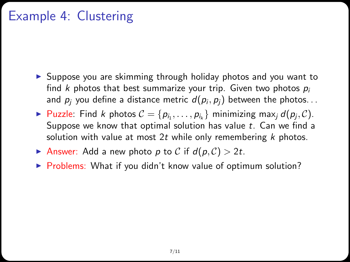## Example 4: Clustering

- $\triangleright$  Suppose you are skimming through holiday photos and you want to find k photos that best summarize your trip. Given two photos  $p_i$ and  $\rho_j$  you define a distance metric  $d(\rho_i,\rho_j)$  between the photos. . .
- ▶ Puzzle: Find *k* photos  $C = \{p_{i_1}, \ldots, p_{i_k}\}\$ minimizing max<sub>j</sub>  $d(p_j, C)$ . Suppose we know that optimal solution has value  $t$ . Can we find a solution with value at most 2t while only remembering  $k$  photos.
- Answer: Add a new photo p to C if  $d(p, C) > 2t$ .
- ▶ Problems: What if you didn't know value of optimum solution?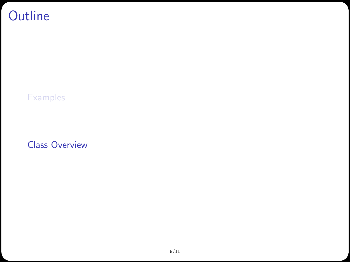# **Outline**

**[Examples](#page-2-0)** 

<span id="page-7-0"></span>[Class Overview](#page-7-0)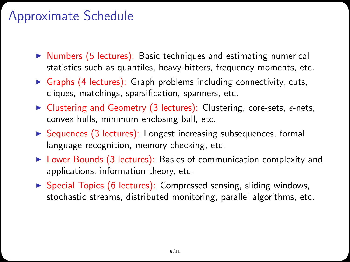#### Approximate Schedule

- $\triangleright$  Numbers (5 lectures): Basic techniques and estimating numerical statistics such as quantiles, heavy-hitters, frequency moments, etc.
- $\triangleright$  Graphs (4 lectures): Graph problems including connectivity, cuts, cliques, matchings, sparsification, spanners, etc.
- In Clustering and Geometry (3 lectures): Clustering, core-sets,  $\epsilon$ -nets, convex hulls, minimum enclosing ball, etc.
- $\triangleright$  Sequences (3 lectures): Longest increasing subsequences, formal language recognition, memory checking, etc.
- $\triangleright$  Lower Bounds (3 lectures): Basics of communication complexity and applications, information theory, etc.
- $\triangleright$  Special Topics (6 lectures): Compressed sensing, sliding windows, stochastic streams, distributed monitoring, parallel algorithms, etc.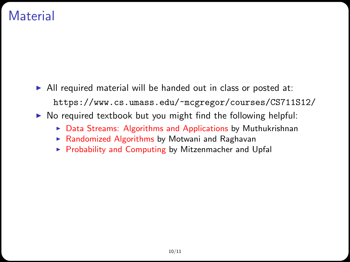#### **Material**

- $\triangleright$  All required material will be handed out in class or posted at: <https://www.cs.umass.edu/~mcgregor/courses/CS711S12/>
- $\triangleright$  No required textbook but you might find the following helpful:
	- $\triangleright$  Data Streams: Algorithms and Applications by Muthukrishnan
	- $\triangleright$  Randomized Algorithms by Motwani and Raghavan
	- $\triangleright$  Probability and Computing by Mitzenmacher and Upfal